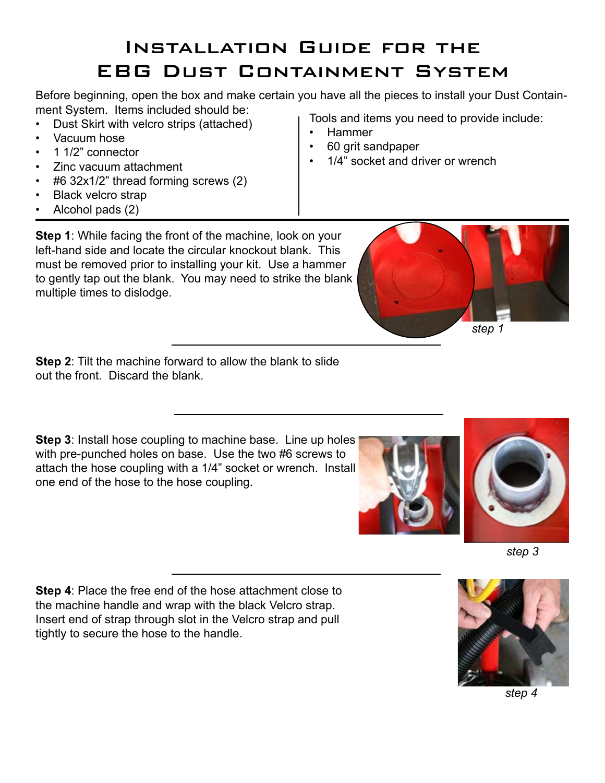## Installation Guide for the EBG Dust Containment System

Before beginning, open the box and make certain you have all the pieces to install your Dust Containment System. Items included should be:

- Dust Skirt with velcro strips (attached)
- Vacuum hose
- 1 1/2" connector
- • Zinc vacuum attachment
- • #6 32x1/2" thread forming screws (2)
- • Black velcro strap
- Alcohol pads (2)

Tools and items you need to provide include:

- **Hammer**
- 60 grit sandpaper
- 1/4" socket and driver or wrench

**Step 1**: While facing the front of the machine, look on your left-hand side and locate the circular knockout blank. This must be removed prior to installing your kit. Use a hammer to gently tap out the blank. You may need to strike the blank multiple times to dislodge.

**Step 2**: Tilt the machine forward to allow the blank to slide out the front. Discard the blank.

**Step 3**: Install hose coupling to machine base. Line up holes with pre-punched holes on base. Use the two #6 screws to attach the hose coupling with a 1/4" socket or wrench. Install one end of the hose to the hose coupling.

**Step 4**: Place the free end of the hose attachment close to the machine handle and wrap with the black Velcro strap. Insert end of strap through slot in the Velcro strap and pull tightly to secure the hose to the handle.











*step 4*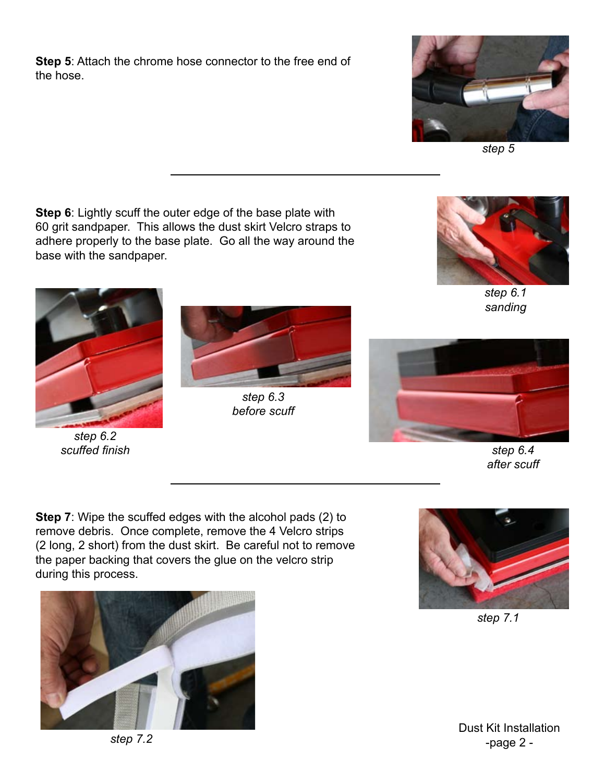**Step 5**: Attach the chrome hose connector to the free end of the hose.



*step 5*

**Step 6**: Lightly scuff the outer edge of the base plate with 60 grit sandpaper. This allows the dust skirt Velcro straps to adhere properly to the base plate. Go all the way around the base with the sandpaper.



*step 6.1 sanding*



*step 6.2 scuffed finish*



*step 6.3 before scuff*



*step 6.4 after scuff*

**Step 7**: Wipe the scuffed edges with the alcohol pads (2) to remove debris. Once complete, remove the 4 Velcro strips (2 long, 2 short) from the dust skirt. Be careful not to remove the paper backing that covers the glue on the velcro strip during this process.





*step 7.1*

Dust Kit Installation -page 2 -

*step 7.2*